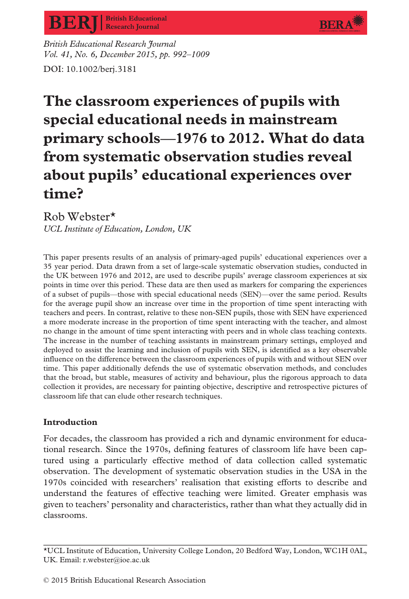

**BERA** 

British Educational Research Journal Vol. 41, No. 6, December 2015, pp. 992–1009 DOI: 10.1002/berj.3181

# The classroom experiences of pupils with special educational needs in mainstream primary schools—1976 to 2012. What do data from systematic observation studies reveal about pupils' educational experiences over time?

Rob Webster\* UCL Institute of Education, London, UK

This paper presents results of an analysis of primary-aged pupils' educational experiences over a 35 year period. Data drawn from a set of large-scale systematic observation studies, conducted in the UK between 1976 and 2012, are used to describe pupils' average classroom experiences at six points in time over this period. These data are then used as markers for comparing the experiences of a subset of pupils—those with special educational needs (SEN)—over the same period. Results for the average pupil show an increase over time in the proportion of time spent interacting with teachers and peers. In contrast, relative to these non-SEN pupils, those with SEN have experienced a more moderate increase in the proportion of time spent interacting with the teacher, and almost no change in the amount of time spent interacting with peers and in whole class teaching contexts. The increase in the number of teaching assistants in mainstream primary settings, employed and deployed to assist the learning and inclusion of pupils with SEN, is identified as a key observable influence on the difference between the classroom experiences of pupils with and without SEN over time. This paper additionally defends the use of systematic observation methods, and concludes that the broad, but stable, measures of activity and behaviour, plus the rigorous approach to data collection it provides, are necessary for painting objective, descriptive and retrospective pictures of classroom life that can elude other research techniques.

## Introduction

For decades, the classroom has provided a rich and dynamic environment for educational research. Since the 1970s, defining features of classroom life have been captured using a particularly effective method of data collection called systematic observation. The development of systematic observation studies in the USA in the 1970s coincided with researchers' realisation that existing efforts to describe and understand the features of effective teaching were limited. Greater emphasis was given to teachers' personality and characteristics, rather than what they actually did in classrooms.

<sup>\*</sup>UCL Institute of Education, University College London, 20 Bedford Way, London, WC1H 0AL, UK. Email: r.webster@ioe.ac.uk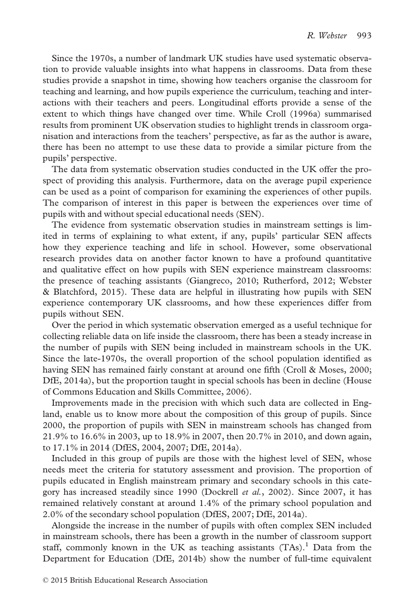Since the 1970s, a number of landmark UK studies have used systematic observation to provide valuable insights into what happens in classrooms. Data from these studies provide a snapshot in time, showing how teachers organise the classroom for teaching and learning, and how pupils experience the curriculum, teaching and interactions with their teachers and peers. Longitudinal efforts provide a sense of the extent to which things have changed over time. While Croll (1996a) summarised results from prominent UK observation studies to highlight trends in classroom organisation and interactions from the teachers' perspective, as far as the author is aware, there has been no attempt to use these data to provide a similar picture from the pupils' perspective.

The data from systematic observation studies conducted in the UK offer the prospect of providing this analysis. Furthermore, data on the average pupil experience can be used as a point of comparison for examining the experiences of other pupils. The comparison of interest in this paper is between the experiences over time of pupils with and without special educational needs (SEN).

The evidence from systematic observation studies in mainstream settings is limited in terms of explaining to what extent, if any, pupils' particular SEN affects how they experience teaching and life in school. However, some observational research provides data on another factor known to have a profound quantitative and qualitative effect on how pupils with SEN experience mainstream classrooms: the presence of teaching assistants (Giangreco, 2010; Rutherford, 2012; Webster & Blatchford, 2015). These data are helpful in illustrating how pupils with SEN experience contemporary UK classrooms, and how these experiences differ from pupils without SEN.

Over the period in which systematic observation emerged as a useful technique for collecting reliable data on life inside the classroom, there has been a steady increase in the number of pupils with SEN being included in mainstream schools in the UK. Since the late-1970s, the overall proportion of the school population identified as having SEN has remained fairly constant at around one fifth (Croll & Moses, 2000; DfE, 2014a), but the proportion taught in special schools has been in decline (House of Commons Education and Skills Committee, 2006).

Improvements made in the precision with which such data are collected in England, enable us to know more about the composition of this group of pupils. Since 2000, the proportion of pupils with SEN in mainstream schools has changed from 21.9% to 16.6% in 2003, up to 18.9% in 2007, then 20.7% in 2010, and down again, to 17.1% in 2014 (DfES, 2004, 2007; DfE, 2014a).

Included in this group of pupils are those with the highest level of SEN, whose needs meet the criteria for statutory assessment and provision. The proportion of pupils educated in English mainstream primary and secondary schools in this category has increased steadily since 1990 (Dockrell et al., 2002). Since 2007, it has remained relatively constant at around 1.4% of the primary school population and 2.0% of the secondary school population (DfES, 2007; DfE, 2014a).

Alongside the increase in the number of pupils with often complex SEN included in mainstream schools, there has been a growth in the number of classroom support staff, commonly known in the UK as teaching assistants  $(TAs).$ <sup>1</sup> Data from the Department for Education (DfE, 2014b) show the number of full-time equivalent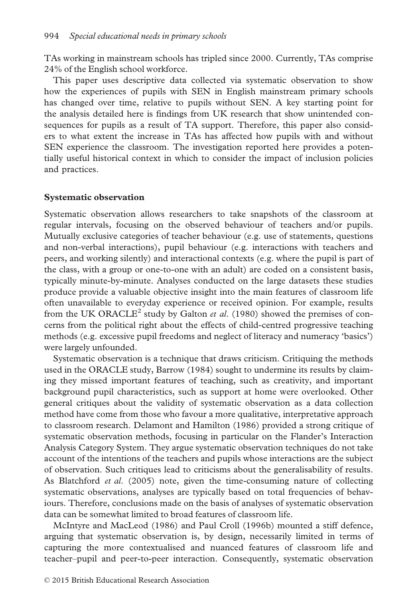TAs working in mainstream schools has tripled since 2000. Currently, TAs comprise 24% of the English school workforce.

This paper uses descriptive data collected via systematic observation to show how the experiences of pupils with SEN in English mainstream primary schools has changed over time, relative to pupils without SEN. A key starting point for the analysis detailed here is findings from UK research that show unintended consequences for pupils as a result of TA support. Therefore, this paper also considers to what extent the increase in TAs has affected how pupils with and without SEN experience the classroom. The investigation reported here provides a potentially useful historical context in which to consider the impact of inclusion policies and practices.

#### Systematic observation

Systematic observation allows researchers to take snapshots of the classroom at regular intervals, focusing on the observed behaviour of teachers and/or pupils. Mutually exclusive categories of teacher behaviour (e.g. use of statements, questions and non-verbal interactions), pupil behaviour (e.g. interactions with teachers and peers, and working silently) and interactional contexts (e.g. where the pupil is part of the class, with a group or one-to-one with an adult) are coded on a consistent basis, typically minute-by-minute. Analyses conducted on the large datasets these studies produce provide a valuable objective insight into the main features of classroom life often unavailable to everyday experience or received opinion. For example, results from the UK ORACLE<sup>2</sup> study by Galton *et al.* (1980) showed the premises of concerns from the political right about the effects of child-centred progressive teaching methods (e.g. excessive pupil freedoms and neglect of literacy and numeracy 'basics') were largely unfounded.

Systematic observation is a technique that draws criticism. Critiquing the methods used in the ORACLE study, Barrow (1984) sought to undermine its results by claiming they missed important features of teaching, such as creativity, and important background pupil characteristics, such as support at home were overlooked. Other general critiques about the validity of systematic observation as a data collection method have come from those who favour a more qualitative, interpretative approach to classroom research. Delamont and Hamilton (1986) provided a strong critique of systematic observation methods, focusing in particular on the Flander's Interaction Analysis Category System. They argue systematic observation techniques do not take account of the intentions of the teachers and pupils whose interactions are the subject of observation. Such critiques lead to criticisms about the generalisability of results. As Blatchford et al. (2005) note, given the time-consuming nature of collecting systematic observations, analyses are typically based on total frequencies of behaviours. Therefore, conclusions made on the basis of analyses of systematic observation data can be somewhat limited to broad features of classroom life.

McIntyre and MacLeod (1986) and Paul Croll (1996b) mounted a stiff defence, arguing that systematic observation is, by design, necessarily limited in terms of capturing the more contextualised and nuanced features of classroom life and teacher–pupil and peer-to-peer interaction. Consequently, systematic observation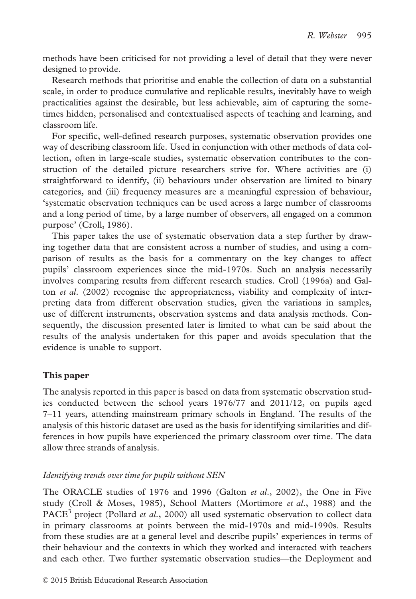methods have been criticised for not providing a level of detail that they were never designed to provide.

Research methods that prioritise and enable the collection of data on a substantial scale, in order to produce cumulative and replicable results, inevitably have to weigh practicalities against the desirable, but less achievable, aim of capturing the sometimes hidden, personalised and contextualised aspects of teaching and learning, and classroom life.

For specific, well-defined research purposes, systematic observation provides one way of describing classroom life. Used in conjunction with other methods of data collection, often in large-scale studies, systematic observation contributes to the construction of the detailed picture researchers strive for. Where activities are (i) straightforward to identify, (ii) behaviours under observation are limited to binary categories, and (iii) frequency measures are a meaningful expression of behaviour, 'systematic observation techniques can be used across a large number of classrooms and a long period of time, by a large number of observers, all engaged on a common purpose' (Croll, 1986).

This paper takes the use of systematic observation data a step further by drawing together data that are consistent across a number of studies, and using a comparison of results as the basis for a commentary on the key changes to affect pupils' classroom experiences since the mid-1970s. Such an analysis necessarily involves comparing results from different research studies. Croll (1996a) and Galton et al. (2002) recognise the appropriateness, viability and complexity of interpreting data from different observation studies, given the variations in samples, use of different instruments, observation systems and data analysis methods. Consequently, the discussion presented later is limited to what can be said about the results of the analysis undertaken for this paper and avoids speculation that the evidence is unable to support.

## This paper

The analysis reported in this paper is based on data from systematic observation studies conducted between the school years 1976/77 and 2011/12, on pupils aged 7–11 years, attending mainstream primary schools in England. The results of the analysis of this historic dataset are used as the basis for identifying similarities and differences in how pupils have experienced the primary classroom over time. The data allow three strands of analysis.

## Identifying trends over time for pupils without SEN

The ORACLE studies of 1976 and 1996 (Galton et al., 2002), the One in Five study (Croll & Moses, 1985), School Matters (Mortimore et al., 1988) and the PACE<sup>3</sup> project (Pollard *et al.*, 2000) all used systematic observation to collect data in primary classrooms at points between the mid-1970s and mid-1990s. Results from these studies are at a general level and describe pupils' experiences in terms of their behaviour and the contexts in which they worked and interacted with teachers and each other. Two further systematic observation studies—the Deployment and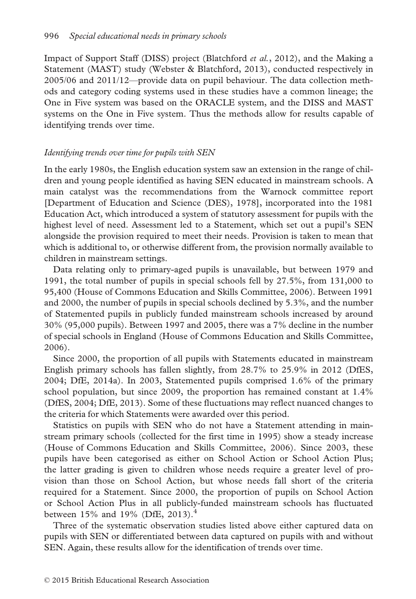Impact of Support Staff (DISS) project (Blatchford et al., 2012), and the Making a Statement (MAST) study (Webster & Blatchford, 2013), conducted respectively in 2005/06 and 2011/12—provide data on pupil behaviour. The data collection methods and category coding systems used in these studies have a common lineage; the One in Five system was based on the ORACLE system, and the DISS and MAST systems on the One in Five system. Thus the methods allow for results capable of identifying trends over time.

## Identifying trends over time for pupils with SEN

In the early 1980s, the English education system saw an extension in the range of children and young people identified as having SEN educated in mainstream schools. A main catalyst was the recommendations from the Warnock committee report [Department of Education and Science (DES), 1978], incorporated into the 1981 Education Act, which introduced a system of statutory assessment for pupils with the highest level of need. Assessment led to a Statement, which set out a pupil's SEN alongside the provision required to meet their needs. Provision is taken to mean that which is additional to, or otherwise different from, the provision normally available to children in mainstream settings.

Data relating only to primary-aged pupils is unavailable, but between 1979 and 1991, the total number of pupils in special schools fell by 27.5%, from 131,000 to 95,400 (House of Commons Education and Skills Committee, 2006). Between 1991 and 2000, the number of pupils in special schools declined by 5.3%, and the number of Statemented pupils in publicly funded mainstream schools increased by around 30% (95,000 pupils). Between 1997 and 2005, there was a 7% decline in the number of special schools in England (House of Commons Education and Skills Committee, 2006).

Since 2000, the proportion of all pupils with Statements educated in mainstream English primary schools has fallen slightly, from 28.7% to 25.9% in 2012 (DfES, 2004; DfE, 2014a). In 2003, Statemented pupils comprised 1.6% of the primary school population, but since 2009, the proportion has remained constant at 1.4% (DfES, 2004; DfE, 2013). Some of these fluctuations may reflect nuanced changes to the criteria for which Statements were awarded over this period.

Statistics on pupils with SEN who do not have a Statement attending in mainstream primary schools (collected for the first time in 1995) show a steady increase (House of Commons Education and Skills Committee, 2006). Since 2003, these pupils have been categorised as either on School Action or School Action Plus; the latter grading is given to children whose needs require a greater level of provision than those on School Action, but whose needs fall short of the criteria required for a Statement. Since 2000, the proportion of pupils on School Action or School Action Plus in all publicly-funded mainstream schools has fluctuated between  $15\%$  and  $19\%$  (DfE, 2013).<sup>4</sup>

Three of the systematic observation studies listed above either captured data on pupils with SEN or differentiated between data captured on pupils with and without SEN. Again, these results allow for the identification of trends over time.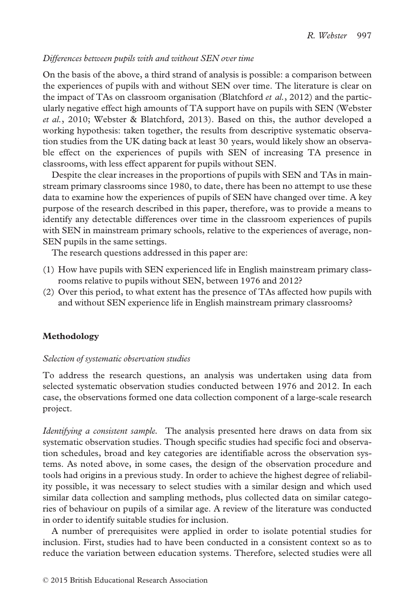## Differences between pupils with and without SEN over time

On the basis of the above, a third strand of analysis is possible: a comparison between the experiences of pupils with and without SEN over time. The literature is clear on the impact of TAs on classroom organisation (Blatchford *et al.*, 2012) and the particularly negative effect high amounts of TA support have on pupils with SEN (Webster et al., 2010; Webster & Blatchford, 2013). Based on this, the author developed a working hypothesis: taken together, the results from descriptive systematic observation studies from the UK dating back at least 30 years, would likely show an observable effect on the experiences of pupils with SEN of increasing TA presence in classrooms, with less effect apparent for pupils without SEN.

Despite the clear increases in the proportions of pupils with SEN and TAs in mainstream primary classrooms since 1980, to date, there has been no attempt to use these data to examine how the experiences of pupils of SEN have changed over time. A key purpose of the research described in this paper, therefore, was to provide a means to identify any detectable differences over time in the classroom experiences of pupils with SEN in mainstream primary schools, relative to the experiences of average, non-SEN pupils in the same settings.

The research questions addressed in this paper are:

- (1) How have pupils with SEN experienced life in English mainstream primary classrooms relative to pupils without SEN, between 1976 and 2012?
- (2) Over this period, to what extent has the presence of TAs affected how pupils with and without SEN experience life in English mainstream primary classrooms?

## Methodology

## Selection of systematic observation studies

To address the research questions, an analysis was undertaken using data from selected systematic observation studies conducted between 1976 and 2012. In each case, the observations formed one data collection component of a large-scale research project.

Identifying a consistent sample. The analysis presented here draws on data from six systematic observation studies. Though specific studies had specific foci and observation schedules, broad and key categories are identifiable across the observation systems. As noted above, in some cases, the design of the observation procedure and tools had origins in a previous study. In order to achieve the highest degree of reliability possible, it was necessary to select studies with a similar design and which used similar data collection and sampling methods, plus collected data on similar categories of behaviour on pupils of a similar age. A review of the literature was conducted in order to identify suitable studies for inclusion.

A number of prerequisites were applied in order to isolate potential studies for inclusion. First, studies had to have been conducted in a consistent context so as to reduce the variation between education systems. Therefore, selected studies were all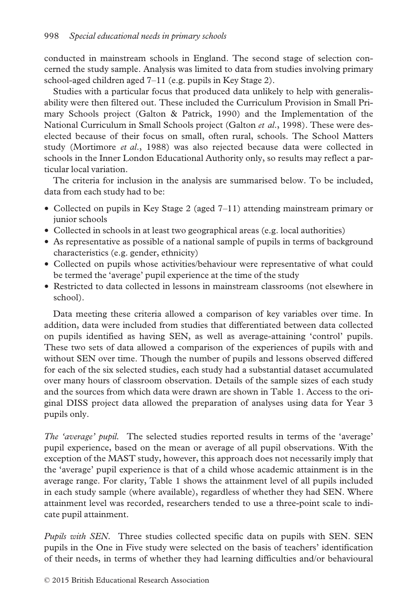conducted in mainstream schools in England. The second stage of selection concerned the study sample. Analysis was limited to data from studies involving primary school-aged children aged 7–11 (e.g. pupils in Key Stage 2).

Studies with a particular focus that produced data unlikely to help with generalisability were then filtered out. These included the Curriculum Provision in Small Primary Schools project (Galton & Patrick, 1990) and the Implementation of the National Curriculum in Small Schools project (Galton *et al.*, 1998). These were deselected because of their focus on small, often rural, schools. The School Matters study (Mortimore et al., 1988) was also rejected because data were collected in schools in the Inner London Educational Authority only, so results may reflect a particular local variation.

The criteria for inclusion in the analysis are summarised below. To be included, data from each study had to be:

- Collected on pupils in Key Stage 2 (aged 7–11) attending mainstream primary or junior schools
- Collected in schools in at least two geographical areas (e.g. local authorities)
- As representative as possible of a national sample of pupils in terms of background characteristics (e.g. gender, ethnicity)
- Collected on pupils whose activities/behaviour were representative of what could be termed the 'average' pupil experience at the time of the study
- Restricted to data collected in lessons in mainstream classrooms (not elsewhere in school).

Data meeting these criteria allowed a comparison of key variables over time. In addition, data were included from studies that differentiated between data collected on pupils identified as having SEN, as well as average-attaining 'control' pupils. These two sets of data allowed a comparison of the experiences of pupils with and without SEN over time. Though the number of pupils and lessons observed differed for each of the six selected studies, each study had a substantial dataset accumulated over many hours of classroom observation. Details of the sample sizes of each study and the sources from which data were drawn are shown in Table 1. Access to the original DISS project data allowed the preparation of analyses using data for Year 3 pupils only.

The 'average' pupil. The selected studies reported results in terms of the 'average' pupil experience, based on the mean or average of all pupil observations. With the exception of the MAST study, however, this approach does not necessarily imply that the 'average' pupil experience is that of a child whose academic attainment is in the average range. For clarity, Table 1 shows the attainment level of all pupils included in each study sample (where available), regardless of whether they had SEN. Where attainment level was recorded, researchers tended to use a three-point scale to indicate pupil attainment.

Pupils with SEN. Three studies collected specific data on pupils with SEN. SEN pupils in the One in Five study were selected on the basis of teachers' identification of their needs, in terms of whether they had learning difficulties and/or behavioural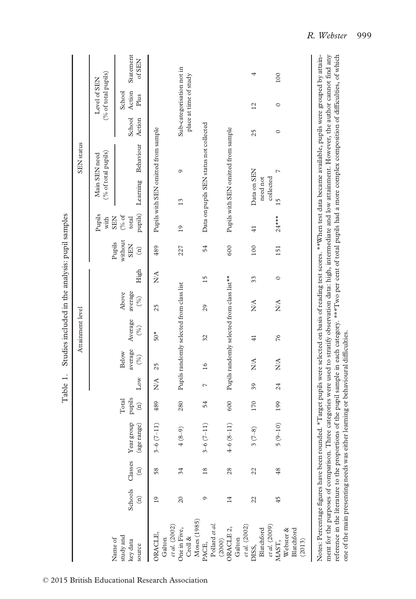|                                                                          |   |                            |                                 |                                    |                 |                                | Attainment level                           |                                 |         |                                                  |                                         |                                         | <b>SEN</b> status |                  |                                                     |                       |
|--------------------------------------------------------------------------|---|----------------------------|---------------------------------|------------------------------------|-----------------|--------------------------------|--------------------------------------------|---------------------------------|---------|--------------------------------------------------|-----------------------------------------|-----------------------------------------|-------------------|------------------|-----------------------------------------------------|-----------------------|
|                                                                          |   |                            |                                 |                                    |                 |                                |                                            |                                 |         |                                                  | Pupils<br>with                          | (% of total pupils)<br>Main SEN need    |                   |                  | (% of total pupils)<br>Level of SEN                 |                       |
| Schools<br>$\widehat{\Xi}$<br>study and<br>Name of<br>key data<br>source |   | Classes<br>$\widehat{\Xi}$ | Year group<br>(age range)       | pupils<br>Total<br>$\widehat{\Xi}$ | $_{\text{Low}}$ | average<br><b>Below</b><br>(%) | Average<br>(%)                             | average<br>Above<br>(%)         | High    | without<br>Pupils<br><b>SEN</b><br>$\widehat{E}$ | pupils)<br>(% of<br>total<br><b>SEN</b> | Learning                                | Behaviour         | School<br>Action | Action<br>School<br>Plus                            | Statement<br>$of$ SEN |
| $\overline{19}$<br>ORACLE,<br>Galton                                     |   | 58                         | $3-6(7-11)$                     | 489                                | $\frac{A}{A}$   | 25                             | $50*$                                      | 25                              | NA      | 489                                              |                                         | Pupils with SEN omitted from sample     |                   |                  |                                                     |                       |
| 20<br>et al. (2002)<br>One in Five,<br>Croll $\&$                        |   | 34                         | $\widehat{(-)}$                 | 280                                |                 |                                | Pupils randomly selected from class list   |                                 |         | 227                                              | 19                                      | Ó<br>13                                 |                   |                  | Sub-categorisation not in<br>place at time of study |                       |
| Moses (1985)<br>PACE,<br>Pollard et al.                                  | Ó | 18                         | $3-6(7-11)$                     | 54                                 | $\overline{ }$  | 16                             | 32                                         | 29                              | 15      | 54                                               |                                         | Data on pupils SEN status not collected |                   |                  |                                                     |                       |
| $\overline{14}$<br>ORACLE <sub>2</sub> ,<br>(2000)<br>Galton             |   | 28                         | $-11)$<br>$4 - 6(8)$            | 600                                |                 |                                | Pupils randomly selected from class list** |                                 |         | 600                                              |                                         | Pupils with SEN omitted from sample     |                   |                  |                                                     |                       |
| 22<br>$_{et\,al.}\left( 2002\right)$ DISS,<br>Blatchford                 |   | 22                         | $\widehat{\mathcal{S}}$<br>3 (7 | 170                                | 39              | $\sum_{i=1}^{n}$               | $\frac{1}{4}$                              | $\sum_{i=1}^{n}$                | 33      | 100                                              | $\frac{1}{4}$                           | Data on SEN<br>need not                 |                   | 25               | 12                                                  | 4                     |
| 45<br>et al. $(2009)$<br>MAST,<br>Webster &                              |   | 48                         | $5(9-10)$                       | 199                                | 24              | $\frac{A}{A}$                  | 76                                         | $\frac{\mathbf{A}}{\mathbf{A}}$ | $\circ$ | 151                                              | $24***$                                 | L<br>collected<br>15                    |                   | $\circ$          | $\circ$                                             | 100                   |
| Blatchford<br>(2013)                                                     |   |                            |                                 |                                    |                 |                                |                                            |                                 |         |                                                  |                                         |                                         |                   |                  |                                                     |                       |

ment for the purposes of comparison. Three categories were used to stratify observation data: high, intermediate and low attainment. However, the author cannot find any<br>reference in the literature to the proportions of the ment for the purposes of comparison. Three categories were used to stratify observation data: high, intermediate and low attainment. However, the author cannot find any reference in the literature to the proportions of the pupil sample in each category. \*\*\*Two per cent of total pupils had a more complex composition of difficulties, of which one of the main presenting needs was either learning or behavioural difficulties.

© 2015 British Educational Research Association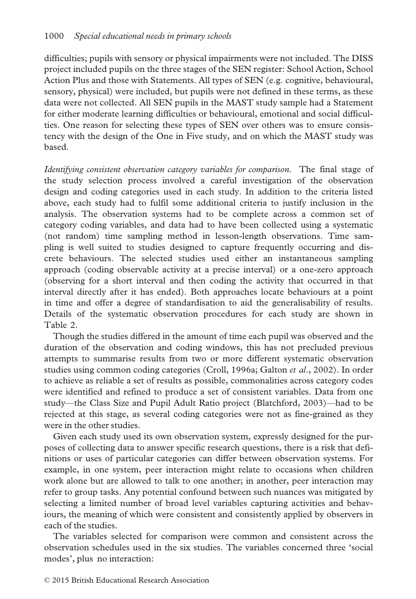difficulties; pupils with sensory or physical impairments were not included. The DISS project included pupils on the three stages of the SEN register: School Action, School Action Plus and those with Statements. All types of SEN (e.g. cognitive, behavioural, sensory, physical) were included, but pupils were not defined in these terms, as these data were not collected. All SEN pupils in the MAST study sample had a Statement for either moderate learning difficulties or behavioural, emotional and social difficulties. One reason for selecting these types of SEN over others was to ensure consistency with the design of the One in Five study, and on which the MAST study was based.

Identifying consistent observation category variables for comparison. The final stage of the study selection process involved a careful investigation of the observation design and coding categories used in each study. In addition to the criteria listed above, each study had to fulfil some additional criteria to justify inclusion in the analysis. The observation systems had to be complete across a common set of category coding variables, and data had to have been collected using a systematic (not random) time sampling method in lesson-length observations. Time sampling is well suited to studies designed to capture frequently occurring and discrete behaviours. The selected studies used either an instantaneous sampling approach (coding observable activity at a precise interval) or a one-zero approach (observing for a short interval and then coding the activity that occurred in that interval directly after it has ended). Both approaches locate behaviours at a point in time and offer a degree of standardisation to aid the generalisability of results. Details of the systematic observation procedures for each study are shown in Table 2.

Though the studies differed in the amount of time each pupil was observed and the duration of the observation and coding windows, this has not precluded previous attempts to summarise results from two or more different systematic observation studies using common coding categories (Croll, 1996a; Galton et al., 2002). In order to achieve as reliable a set of results as possible, commonalities across category codes were identified and refined to produce a set of consistent variables. Data from one study—the Class Size and Pupil Adult Ratio project (Blatchford, 2003)—had to be rejected at this stage, as several coding categories were not as fine-grained as they were in the other studies.

Given each study used its own observation system, expressly designed for the purposes of collecting data to answer specific research questions, there is a risk that definitions or uses of particular categories can differ between observation systems. For example, in one system, peer interaction might relate to occasions when children work alone but are allowed to talk to one another; in another, peer interaction may refer to group tasks. Any potential confound between such nuances was mitigated by selecting a limited number of broad level variables capturing activities and behaviours, the meaning of which were consistent and consistently applied by observers in each of the studies.

The variables selected for comparison were common and consistent across the observation schedules used in the six studies. The variables concerned three 'social modes', plus no interaction: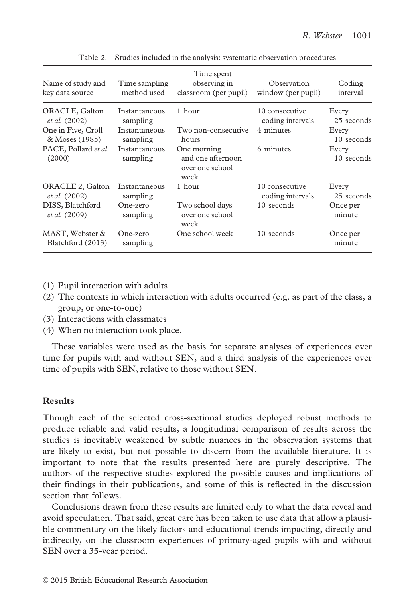| Name of study and<br>key data source     | Time sampling<br>method used | Time spent<br>observing in<br>classroom (per pupil)         | Observation<br>window (per pupil)  | Coding<br>interval  |
|------------------------------------------|------------------------------|-------------------------------------------------------------|------------------------------------|---------------------|
| ORACLE, Galton<br><i>et al.</i> (2002)   | Instantaneous<br>sampling    | 1 hour                                                      | 10 consecutive<br>coding intervals | Every<br>25 seconds |
| One in Five, Croll<br>& Moses (1985)     | Instantaneous<br>sampling    | Two non-consecutive<br>hours                                | 4 minutes                          | Every<br>10 seconds |
| PACE, Pollard et al.<br>(2000)           | Instantaneous<br>sampling    | One morning<br>and one afternoon<br>over one school<br>week | 6 minutes                          | Every<br>10 seconds |
| ORACLE 2, Galton<br><i>et al.</i> (2002) | Instantaneous<br>sampling    | 1 hour                                                      | 10 consecutive<br>coding intervals | Every<br>25 seconds |
| DISS, Blatchford<br><i>et al.</i> (2009) | One-zero<br>sampling         | Two school days<br>over one school<br>week                  | 10 seconds                         | Once per<br>minute  |
| MAST, Webster &<br>Blatchford (2013)     | One-zero<br>sampling         | One school week                                             | 10 seconds                         | Once per<br>minute  |

Table 2. Studies included in the analysis: systematic observation procedures

- (1) Pupil interaction with adults
- (2) The contexts in which interaction with adults occurred (e.g. as part of the class, a group, or one-to-one)
- (3) Interactions with classmates
- (4) When no interaction took place.

These variables were used as the basis for separate analyses of experiences over time for pupils with and without SEN, and a third analysis of the experiences over time of pupils with SEN, relative to those without SEN.

## Results

Though each of the selected cross-sectional studies deployed robust methods to produce reliable and valid results, a longitudinal comparison of results across the studies is inevitably weakened by subtle nuances in the observation systems that are likely to exist, but not possible to discern from the available literature. It is important to note that the results presented here are purely descriptive. The authors of the respective studies explored the possible causes and implications of their findings in their publications, and some of this is reflected in the discussion section that follows.

Conclusions drawn from these results are limited only to what the data reveal and avoid speculation. That said, great care has been taken to use data that allow a plausible commentary on the likely factors and educational trends impacting, directly and indirectly, on the classroom experiences of primary-aged pupils with and without SEN over a 35-year period.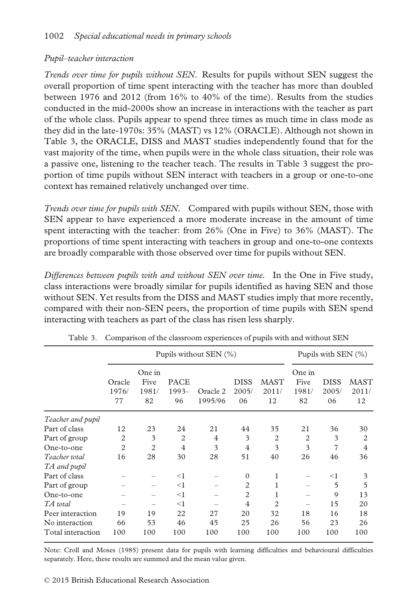## Pupil–teacher interaction

Trends over time for pupils without SEN. Results for pupils without SEN suggest the overall proportion of time spent interacting with the teacher has more than doubled between 1976 and 2012 (from 16% to 40% of the time). Results from the studies conducted in the mid-2000s show an increase in interactions with the teacher as part of the whole class. Pupils appear to spend three times as much time in class mode as they did in the late-1970s: 35% (MAST) vs 12% (ORACLE). Although not shown in Table 3, the ORACLE, DISS and MAST studies independently found that for the vast majority of the time, when pupils were in the whole class situation, their role was a passive one, listening to the teacher teach. The results in Table 3 suggest the proportion of time pupils without SEN interact with teachers in a group or one-to-one context has remained relatively unchanged over time.

Trends over time for pupils with SEN. Compared with pupils without SEN, those with SEN appear to have experienced a more moderate increase in the amount of time spent interacting with the teacher: from 26% (One in Five) to 36% (MAST). The proportions of time spent interacting with teachers in group and one-to-one contexts are broadly comparable with those observed over time for pupils without SEN.

Differences between pupils with and without SEN over time. In the One in Five study, class interactions were broadly similar for pupils identified as having SEN and those without SEN. Yet results from the DISS and MAST studies imply that more recently, compared with their non-SEN peers, the proportion of time pupils with SEN spend interacting with teachers as part of the class has risen less sharply.

|                   |                       | Pupils without SEN (%)        | Pupils with SEN $(\%)$       |                     |                            |                            |                               |                            |                            |
|-------------------|-----------------------|-------------------------------|------------------------------|---------------------|----------------------------|----------------------------|-------------------------------|----------------------------|----------------------------|
|                   | Oracle<br>1976/<br>77 | One in<br>Five<br>1981/<br>82 | <b>PACE</b><br>$1993-$<br>96 | Oracle 2<br>1995/96 | <b>DISS</b><br>2005/<br>06 | <b>MAST</b><br>2011/<br>12 | One in<br>Five<br>1981/<br>82 | <b>DISS</b><br>2005/<br>06 | <b>MAST</b><br>2011/<br>12 |
| Teacher and pupil |                       |                               |                              |                     |                            |                            |                               |                            |                            |
| Part of class     | 12                    | 23                            | 24                           | 21                  | 44                         | 35                         | 21                            | 36                         | 30                         |
| Part of group     | $\overline{2}$        | 3                             | $\overline{c}$               | 4                   | 3                          | 2                          | $\overline{c}$                | 3                          | $\overline{c}$             |
| One-to-one        | $\overline{2}$        | $\mathfrak{D}$                | $\overline{4}$               | 3                   | $\overline{4}$             | 3                          | 3                             | 7                          | 4                          |
| Teacher total     | 16                    | 28                            | 30                           | 28                  | 51                         | 40                         | 26                            | 46                         | 36                         |
| TA and pupil      |                       |                               |                              |                     |                            |                            |                               |                            |                            |
| Part of class     |                       |                               | $<$ 1                        |                     | $\mathbf{0}$               | 1                          |                               | $<$ 1                      | 3                          |
| Part of group     |                       |                               | $<$ 1                        |                     | 2                          | 1                          |                               | 5                          | 5                          |
| One-to-one        |                       |                               | $<$ 1                        |                     | 2                          |                            |                               | 9                          | 13                         |
| TA total          |                       |                               | $<$ 1                        |                     | $\overline{4}$             | $\mathfrak{D}$             |                               | 15                         | 20                         |
| Peer interaction  | 19                    | 19                            | 22                           | 27                  | 20                         | 32                         | 18                            | 16                         | 18                         |
| No interaction    | 66                    | 53                            | 46                           | 45                  | 25                         | 26                         | 56                            | 23                         | 26                         |
| Total interaction | 100                   | 100                           | 100                          | 100                 | 100                        | 100                        | 100                           | 100                        | 100                        |

Table 3. Comparison of the classroom experiences of pupils with and without SEN

Note: Croll and Moses (1985) present data for pupils with learning difficulties and behavioural difficulties separately. Here, these results are summed and the mean value given.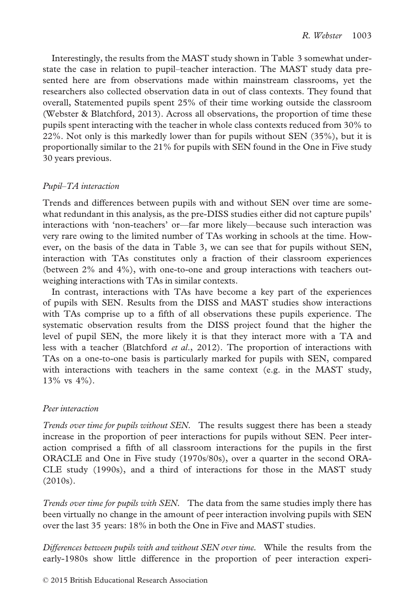Interestingly, the results from the MAST study shown in Table 3 somewhat understate the case in relation to pupil–teacher interaction. The MAST study data presented here are from observations made within mainstream classrooms, yet the researchers also collected observation data in out of class contexts. They found that overall, Statemented pupils spent 25% of their time working outside the classroom (Webster & Blatchford, 2013). Across all observations, the proportion of time these pupils spent interacting with the teacher in whole class contexts reduced from 30% to 22%. Not only is this markedly lower than for pupils without SEN (35%), but it is proportionally similar to the 21% for pupils with SEN found in the One in Five study 30 years previous.

## Pupil–TA interaction

Trends and differences between pupils with and without SEN over time are somewhat redundant in this analysis, as the pre-DISS studies either did not capture pupils' interactions with 'non-teachers' or—far more likely—because such interaction was very rare owing to the limited number of TAs working in schools at the time. However, on the basis of the data in Table 3, we can see that for pupils without SEN, interaction with TAs constitutes only a fraction of their classroom experiences (between 2% and 4%), with one-to-one and group interactions with teachers outweighing interactions with TAs in similar contexts.

In contrast, interactions with TAs have become a key part of the experiences of pupils with SEN. Results from the DISS and MAST studies show interactions with TAs comprise up to a fifth of all observations these pupils experience. The systematic observation results from the DISS project found that the higher the level of pupil SEN, the more likely it is that they interact more with a TA and less with a teacher (Blatchford et al., 2012). The proportion of interactions with TAs on a one-to-one basis is particularly marked for pupils with SEN, compared with interactions with teachers in the same context (e.g. in the MAST study, 13% vs 4%).

## Peer interaction

Trends over time for pupils without SEN. The results suggest there has been a steady increase in the proportion of peer interactions for pupils without SEN. Peer interaction comprised a fifth of all classroom interactions for the pupils in the first ORACLE and One in Five study (1970s/80s), over a quarter in the second ORA-CLE study (1990s), and a third of interactions for those in the MAST study (2010s).

Trends over time for pupils with SEN. The data from the same studies imply there has been virtually no change in the amount of peer interaction involving pupils with SEN over the last 35 years: 18% in both the One in Five and MAST studies.

Differences between pupils with and without SEN over time. While the results from the early-1980s show little difference in the proportion of peer interaction experi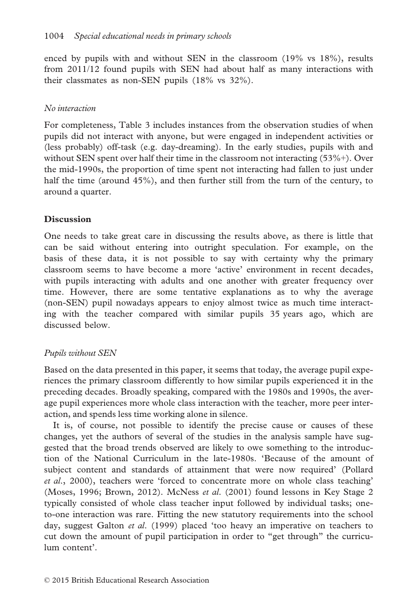enced by pupils with and without SEN in the classroom (19% vs 18%), results from 2011/12 found pupils with SEN had about half as many interactions with their classmates as non-SEN pupils (18% vs 32%).

## No interaction

For completeness, Table 3 includes instances from the observation studies of when pupils did not interact with anyone, but were engaged in independent activities or (less probably) off-task (e.g. day-dreaming). In the early studies, pupils with and without SEN spent over half their time in the classroom not interacting (53%+). Over the mid-1990s, the proportion of time spent not interacting had fallen to just under half the time (around 45%), and then further still from the turn of the century, to around a quarter.

## Discussion

One needs to take great care in discussing the results above, as there is little that can be said without entering into outright speculation. For example, on the basis of these data, it is not possible to say with certainty why the primary classroom seems to have become a more 'active' environment in recent decades, with pupils interacting with adults and one another with greater frequency over time. However, there are some tentative explanations as to why the average (non-SEN) pupil nowadays appears to enjoy almost twice as much time interacting with the teacher compared with similar pupils 35 years ago, which are discussed below.

## Pupils without SEN

Based on the data presented in this paper, it seems that today, the average pupil experiences the primary classroom differently to how similar pupils experienced it in the preceding decades. Broadly speaking, compared with the 1980s and 1990s, the average pupil experiences more whole class interaction with the teacher, more peer interaction, and spends less time working alone in silence.

It is, of course, not possible to identify the precise cause or causes of these changes, yet the authors of several of the studies in the analysis sample have suggested that the broad trends observed are likely to owe something to the introduction of the National Curriculum in the late-1980s. 'Because of the amount of subject content and standards of attainment that were now required' (Pollard et al., 2000), teachers were 'forced to concentrate more on whole class teaching' (Moses, 1996; Brown, 2012). McNess et al. (2001) found lessons in Key Stage 2 typically consisted of whole class teacher input followed by individual tasks; oneto-one interaction was rare. Fitting the new statutory requirements into the school day, suggest Galton *et al.* (1999) placed 'too heavy an imperative on teachers to cut down the amount of pupil participation in order to "get through" the curriculum content'.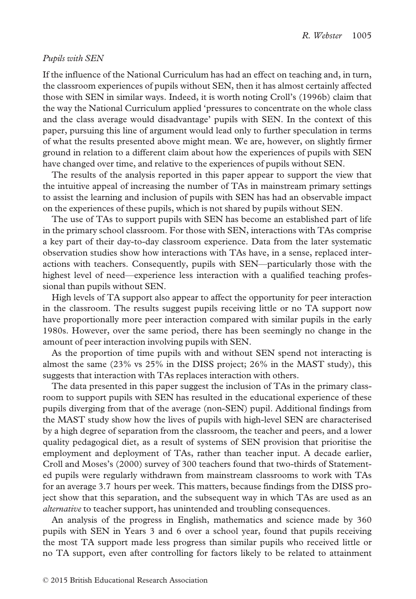## Pupils with SEN

If the influence of the National Curriculum has had an effect on teaching and, in turn, the classroom experiences of pupils without SEN, then it has almost certainly affected those with SEN in similar ways. Indeed, it is worth noting Croll's (1996b) claim that the way the National Curriculum applied 'pressures to concentrate on the whole class and the class average would disadvantage' pupils with SEN. In the context of this paper, pursuing this line of argument would lead only to further speculation in terms of what the results presented above might mean. We are, however, on slightly firmer ground in relation to a different claim about how the experiences of pupils with SEN have changed over time, and relative to the experiences of pupils without SEN.

The results of the analysis reported in this paper appear to support the view that the intuitive appeal of increasing the number of TAs in mainstream primary settings to assist the learning and inclusion of pupils with SEN has had an observable impact on the experiences of these pupils, which is not shared by pupils without SEN.

The use of TAs to support pupils with SEN has become an established part of life in the primary school classroom. For those with SEN, interactions with TAs comprise a key part of their day-to-day classroom experience. Data from the later systematic observation studies show how interactions with TAs have, in a sense, replaced interactions with teachers. Consequently, pupils with SEN—particularly those with the highest level of need—experience less interaction with a qualified teaching professional than pupils without SEN.

High levels of TA support also appear to affect the opportunity for peer interaction in the classroom. The results suggest pupils receiving little or no TA support now have proportionally more peer interaction compared with similar pupils in the early 1980s. However, over the same period, there has been seemingly no change in the amount of peer interaction involving pupils with SEN.

As the proportion of time pupils with and without SEN spend not interacting is almost the same (23% vs 25% in the DISS project; 26% in the MAST study), this suggests that interaction with TAs replaces interaction with others.

The data presented in this paper suggest the inclusion of TAs in the primary classroom to support pupils with SEN has resulted in the educational experience of these pupils diverging from that of the average (non-SEN) pupil. Additional findings from the MAST study show how the lives of pupils with high-level SEN are characterised by a high degree of separation from the classroom, the teacher and peers, and a lower quality pedagogical diet, as a result of systems of SEN provision that prioritise the employment and deployment of TAs, rather than teacher input. A decade earlier, Croll and Moses's (2000) survey of 300 teachers found that two-thirds of Statemented pupils were regularly withdrawn from mainstream classrooms to work with TAs for an average 3.7 hours per week. This matters, because findings from the DISS project show that this separation, and the subsequent way in which TAs are used as an alternative to teacher support, has unintended and troubling consequences.

An analysis of the progress in English, mathematics and science made by 360 pupils with SEN in Years 3 and 6 over a school year, found that pupils receiving the most TA support made less progress than similar pupils who received little or no TA support, even after controlling for factors likely to be related to attainment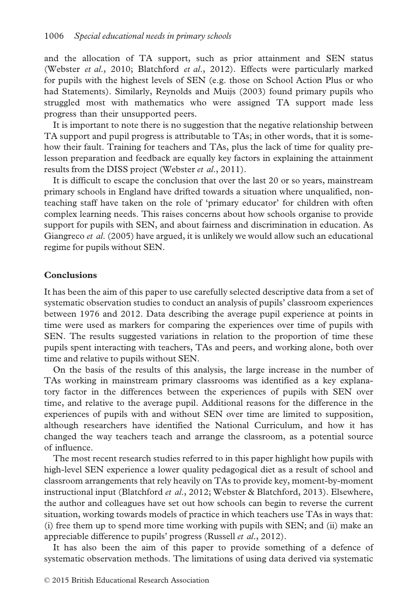and the allocation of TA support, such as prior attainment and SEN status (Webster et al., 2010; Blatchford et al., 2012). Effects were particularly marked for pupils with the highest levels of SEN (e.g. those on School Action Plus or who had Statements). Similarly, Reynolds and Muijs (2003) found primary pupils who struggled most with mathematics who were assigned TA support made less progress than their unsupported peers.

It is important to note there is no suggestion that the negative relationship between TA support and pupil progress is attributable to TAs; in other words, that it is somehow their fault. Training for teachers and TAs, plus the lack of time for quality prelesson preparation and feedback are equally key factors in explaining the attainment results from the DISS project (Webster *et al.*, 2011).

It is difficult to escape the conclusion that over the last 20 or so years, mainstream primary schools in England have drifted towards a situation where unqualified, nonteaching staff have taken on the role of 'primary educator' for children with often complex learning needs. This raises concerns about how schools organise to provide support for pupils with SEN, and about fairness and discrimination in education. As Giangreco et al. (2005) have argued, it is unlikely we would allow such an educational regime for pupils without SEN.

#### **Conclusions**

It has been the aim of this paper to use carefully selected descriptive data from a set of systematic observation studies to conduct an analysis of pupils' classroom experiences between 1976 and 2012. Data describing the average pupil experience at points in time were used as markers for comparing the experiences over time of pupils with SEN. The results suggested variations in relation to the proportion of time these pupils spent interacting with teachers, TAs and peers, and working alone, both over time and relative to pupils without SEN.

On the basis of the results of this analysis, the large increase in the number of TAs working in mainstream primary classrooms was identified as a key explanatory factor in the differences between the experiences of pupils with SEN over time, and relative to the average pupil. Additional reasons for the difference in the experiences of pupils with and without SEN over time are limited to supposition, although researchers have identified the National Curriculum, and how it has changed the way teachers teach and arrange the classroom, as a potential source of influence.

The most recent research studies referred to in this paper highlight how pupils with high-level SEN experience a lower quality pedagogical diet as a result of school and classroom arrangements that rely heavily on TAs to provide key, moment-by-moment instructional input (Blatchford et al., 2012; Webster & Blatchford, 2013). Elsewhere, the author and colleagues have set out how schools can begin to reverse the current situation, working towards models of practice in which teachers use TAs in ways that: (i) free them up to spend more time working with pupils with SEN; and (ii) make an appreciable difference to pupils' progress (Russell et al., 2012).

It has also been the aim of this paper to provide something of a defence of systematic observation methods. The limitations of using data derived via systematic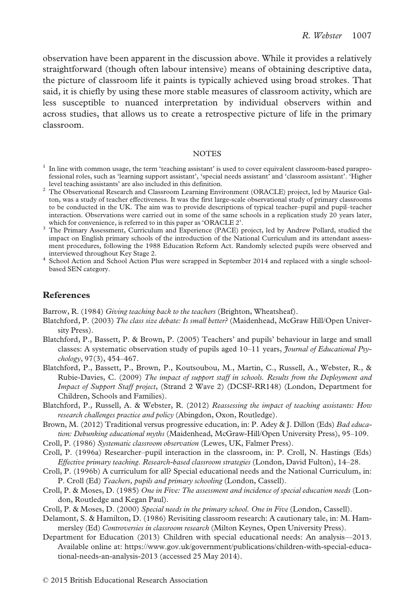observation have been apparent in the discussion above. While it provides a relatively straightforward (though often labour intensive) means of obtaining descriptive data, the picture of classroom life it paints is typically achieved using broad strokes. That said, it is chiefly by using these more stable measures of classroom activity, which are less susceptible to nuanced interpretation by individual observers within and across studies, that allows us to create a retrospective picture of life in the primary classroom.

#### **NOTES**

- $1$  In line with common usage, the term 'teaching assistant' is used to cover equivalent classroom-based paraprofessional roles, such as 'learning support assistant', 'special needs assistant' and 'classroom assistant'. 'Higher
- level teaching assistants' are also included in this definition. <sup>2</sup> The Observational Research and Classroom Learning Environment (ORACLE) project, led by Maurice Galton, was a study of teacher effectiveness. It was the first large-scale observational study of primary classrooms to be conducted in the UK. The aim was to provide descriptions of typical teacher–pupil and pupil–teacher interaction. Observations were carried out in some of the same schools in a replication study 20 years later,
- <sup>3</sup> The Primary Assessment, Curriculum and Experience (PACE) project, led by Andrew Pollard, studied the impact on English primary schools of the introduction of the National Curriculum and its attendant assessment procedures, following the 1988 Education Reform Act. Randomly selected pupils were observed and
- <sup>4</sup> School Action and School Action Plus were scrapped in September 2014 and replaced with a single schoolbased SEN category.

## References

Barrow, R. (1984) Giving teaching back to the teachers (Brighton, Wheatsheaf).

- Blatchford, P. (2003) The class size debate: Is small better? (Maidenhead, McGraw Hill/Open University Press).
- Blatchford, P., Bassett, P. & Brown, P. (2005) Teachers' and pupils' behaviour in large and small classes: A systematic observation study of pupils aged  $10-11$  years, *Journal of Educational Psy*chology, 97(3), 454–467.
- Blatchford, P., Bassett, P., Brown, P., Koutsoubou, M., Martin, C., Russell, A., Webster, R., & Rubie-Davies, C. (2009) The impact of support staff in schools. Results from the Deployment and Impact of Support Staff project, (Strand 2 Wave 2) (DCSF-RR148) (London, Department for Children, Schools and Families).
- Blatchford, P., Russell, A. & Webster, R. (2012) Reassessing the impact of teaching assistants: How research challenges practice and policy (Abingdon, Oxon, Routledge).
- Brown, M. (2012) Traditional versus progressive education, in: P. Adey & J. Dillon (Eds) Bad education: Debunking educational myths (Maidenhead, McGraw-Hill/Open University Press), 95–109.
- Croll, P. (1986) Systematic classroom observation (Lewes, UK, Falmer Press).
- Croll, P. (1996a) Researcher–pupil interaction in the classroom, in: P. Croll, N. Hastings (Eds) Effective primary teaching. Research-based classroom strategies (London, David Fulton), 14–28.
- Croll, P. (1996b) A curriculum for all? Special educational needs and the National Curriculum, in: P. Croll (Ed) Teachers, pupils and primary schooling (London, Cassell).
- Croll, P. & Moses, D. (1985) One in Five: The assessment and incidence of special education needs (London, Routledge and Kegan Paul).
- Croll, P. & Moses, D. (2000) Special needs in the primary school. One in Five (London, Cassell).
- Delamont, S. & Hamilton, D. (1986) Revisiting classroom research: A cautionary tale, in: M. Hammersley (Ed) Controversies in classroom research (Milton Keynes, Open University Press).
- Department for Education (2013) Children with special educational needs: An analysis—2013. Available online at: [https://www.gov.uk/government/publications/children-with-special-educa](http://https://www.gov.uk/government/publications/children-with-special-educational-needs-an-analysis-2013)[tional-needs-an-analysis-2013](http://https://www.gov.uk/government/publications/children-with-special-educational-needs-an-analysis-2013) (accessed 25 May 2014).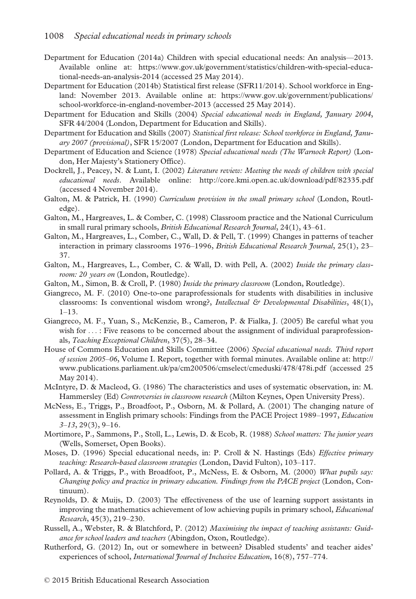- Department for Education (2014a) Children with special educational needs: An analysis—2013. Available online at: [https://www.gov.uk/government/statistics/children-with-special-educa](http://https://www.gov.uk/government/statistics/children-with-special-educational-needs-an-analysis-2014)[tional-needs-an-analysis-2014](http://https://www.gov.uk/government/statistics/children-with-special-educational-needs-an-analysis-2014) (accessed 25 May 2014).
- Department for Education (2014b) Statistical first release (SFR11/2014). School workforce in England: November 2013. Available online at: [https://www.gov.uk/government/publications/](http://https://www.gov.uk/government/publications/school-workforce-in-england-november-2013) [school-workforce-in-england-november-2013](http://https://www.gov.uk/government/publications/school-workforce-in-england-november-2013) (accessed 25 May 2014).
- Department for Education and Skills (2004) Special educational needs in England, January 2004, SFR 44/2004 (London, Department for Education and Skills).
- Department for Education and Skills (2007) Statistical first release: School workforce in England, January 2007 (provisional), SFR 15/2007 (London, Department for Education and Skills).
- Department of Education and Science (1978) Special educational needs (The Warnock Report) (London, Her Majesty's Stationery Office).
- Dockrell, J., Peacey, N. & Lunt, I. (2002) Literature review: Meeting the needs of children with special educational needs. Available online:<http://core.kmi.open.ac.uk/download/pdf/82335.pdf> (accessed 4 November 2014).
- Galton, M. & Patrick, H. (1990) Curriculum provision in the small primary school (London, Routledge).
- Galton, M., Hargreaves, L. & Comber, C. (1998) Classroom practice and the National Curriculum in small rural primary schools, *British Educational Research Journal*, 24(1), 43–61.
- Galton, M., Hargreaves, L., Comber, C., Wall, D. & Pell, T. (1999) Changes in patterns of teacher interaction in primary classrooms 1976–1996, British Educational Research Journal, 25(1), 23– 37.
- Galton, M., Hargreaves, L., Comber, C. & Wall, D. with Pell, A. (2002) Inside the primary classroom: 20 years on (London, Routledge).
- Galton, M., Simon, B. & Croll, P. (1980) Inside the primary classroom (London, Routledge).
- Giangreco, M. F. (2010) One-to-one paraprofessionals for students with disabilities in inclusive classrooms: Is conventional wisdom wrong?, Intellectual & Developmental Disabilities,  $48(1)$ , 1–13.
- Giangreco, M. F., Yuan, S., McKenzie, B., Cameron, P. & Fialka, J. (2005) Be careful what you wish for  $\dots$ : Five reasons to be concerned about the assignment of individual paraprofessionals, Teaching Exceptional Children, 37(5), 28–34.
- House of Commons Education and Skills Committee (2006) Special educational needs. Third report of session 2005–06, Volume I. Report, together with formal minutes. Available online at: [http://](http://www.publications.parliament.uk/pa/cm200506/cmselect/cmeduski/478/478i.pdf) [www.publications.parliament.uk/pa/cm200506/cmselect/cmeduski/478/478i.pdf](http://www.publications.parliament.uk/pa/cm200506/cmselect/cmeduski/478/478i.pdf) (accessed 25 May 2014).
- McIntyre, D. & Macleod, G. (1986) The characteristics and uses of systematic observation, in: M. Hammersley (Ed) Controversies in classroom research (Milton Keynes, Open University Press).
- McNess, E., Triggs, P., Broadfoot, P., Osborn, M. & Pollard, A. (2001) The changing nature of assessment in English primary schools: Findings from the PACE Project 1989–1997, Education  $3-13$ ,  $29(3)$ ,  $9-16$ .
- Mortimore, P., Sammons, P., Stoll, L., Lewis, D. & Ecob, R. (1988) School matters: The junior years (Wells, Somerset, Open Books).
- Moses, D. (1996) Special educational needs, in: P. Croll & N. Hastings (Eds) *Effective primary* teaching: Research-based classroom strategies (London, David Fulton), 103–117.
- Pollard, A. & Triggs, P., with Broadfoot, P., McNess, E. & Osborn, M. (2000) What pupils say: Changing policy and practice in primary education. Findings from the PACE project (London, Continuum).
- Reynolds, D. & Muijs, D. (2003) The effectiveness of the use of learning support assistants in improving the mathematics achievement of low achieving pupils in primary school, *Educational* Research, 45(3), 219–230.
- Russell, A., Webster, R. & Blatchford, P. (2012) Maximising the impact of teaching assistants: Guidance for school leaders and teachers (Abingdon, Oxon, Routledge).
- Rutherford, G. (2012) In, out or somewhere in between? Disabled students' and teacher aides' experiences of school, International Journal of Inclusive Education, 16(8), 757–774.